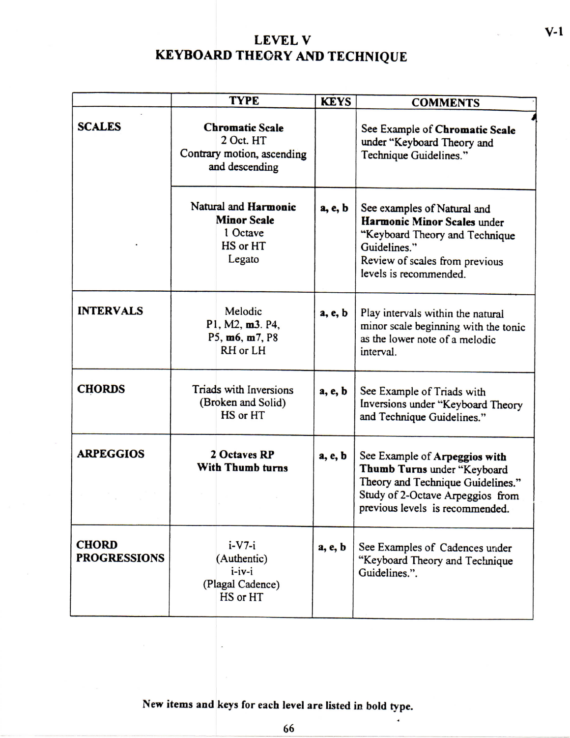## **LEVE L V KEYBOARD THEORY AND TECHNIQUE**

|                                     |                                                                                     | <b>TYPE</b>                                                                  |         | <b>COMMENTS</b>                                                                                                                                                          |
|-------------------------------------|-------------------------------------------------------------------------------------|------------------------------------------------------------------------------|---------|--------------------------------------------------------------------------------------------------------------------------------------------------------------------------|
| <b>SCALES</b>                       | <b>Chromatic Scale</b><br>2 Oct. HT<br>Contrary motion, ascending<br>and descending |                                                                              |         | See Example of Chromatic Scale<br>under "Keyboard Theory and<br>Technique Guidelines."                                                                                   |
|                                     |                                                                                     | Natural and Harmonic<br><b>Minor Scale</b><br>1 Octave<br>HS or HT<br>Legato | a, e, b | See examples of Natural and<br>Harmonic Minor Scales under<br>"Keyboard Theory and Technique<br>Guidelines."<br>Review of scales from previous<br>levels is recommended. |
| <b>INTERVALS</b>                    |                                                                                     | Melodic<br>P1, M2, m3. P4,<br>P5, m6, m7, P8<br>RH or LH                     | a, e, b | Play intervals within the natural<br>minor scale beginning with the tonic<br>as the lower note of a melodic<br>interval.                                                 |
| <b>CHORDS</b>                       |                                                                                     | Triads with Inversions<br>(Broken and Solid)<br>HS or HT                     | a, e, b | See Example of Triads with<br>Inversions under "Keyboard Theory<br>and Technique Guidelines."                                                                            |
| <b>ARPEGGIOS</b>                    |                                                                                     | 2 Octaves RP<br>With Thumb turns                                             | a, e, b | See Example of Arpeggios with<br>Thumb Turns under "Keyboard<br>Theory and Technique Guidelines."<br>Study of 2-Octave Arpeggios from<br>previous levels is recommended. |
| <b>CHORD</b><br><b>PROGRESSIONS</b> |                                                                                     | $i-V7-i$<br>(Authentic)<br>$i$ -iv-i<br>(Plagal Cadence)<br>HS or HT         | a, e, b | See Examples of Cadences under<br>"Keyboard Theory and Technique<br>Guidelines.".                                                                                        |

**New items and keys for each level are listed in bold type,** 

 $\bullet$